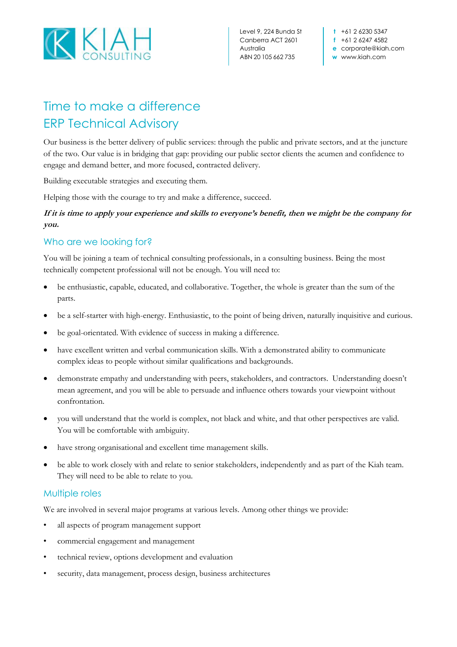

Level 9, 224 Bunda St Canberra ACT 2601 Australia ABN 20 105 662 735

**t** +61 2 6230 5347 **f** +61 2 6247 4582 **e** corporate@kiah.com **w** www.kiah.com

# Time to make a difference ERP Technical Advisory

Our business is the better delivery of public services: through the public and private sectors, and at the juncture of the two. Our value is in bridging that gap: providing our public sector clients the acumen and confidence to engage and demand better, and more focused, contracted delivery.

Building executable strategies and executing them.

Helping those with the courage to try and make a difference, succeed.

### **If it is time to apply your experience and skills to everyone's benefit, then we might be the company for you.**

## Who are we looking for?

You will be joining a team of technical consulting professionals, in a consulting business. Being the most technically competent professional will not be enough. You will need to:

- be enthusiastic, capable, educated, and collaborative. Together, the whole is greater than the sum of the parts.
- be a self-starter with high-energy. Enthusiastic, to the point of being driven, naturally inquisitive and curious.
- be goal-orientated. With evidence of success in making a difference.
- have excellent written and verbal communication skills. With a demonstrated ability to communicate complex ideas to people without similar qualifications and backgrounds.
- demonstrate empathy and understanding with peers, stakeholders, and contractors. Understanding doesn't mean agreement, and you will be able to persuade and influence others towards your viewpoint without confrontation.
- you will understand that the world is complex, not black and white, and that other perspectives are valid. You will be comfortable with ambiguity.
- have strong organisational and excellent time management skills.
- be able to work closely with and relate to senior stakeholders, independently and as part of the Kiah team. They will need to be able to relate to you.

#### Multiple roles

We are involved in several major programs at various levels. Among other things we provide:

- all aspects of program management support
- commercial engagement and management
- technical review, options development and evaluation
- security, data management, process design, business architectures